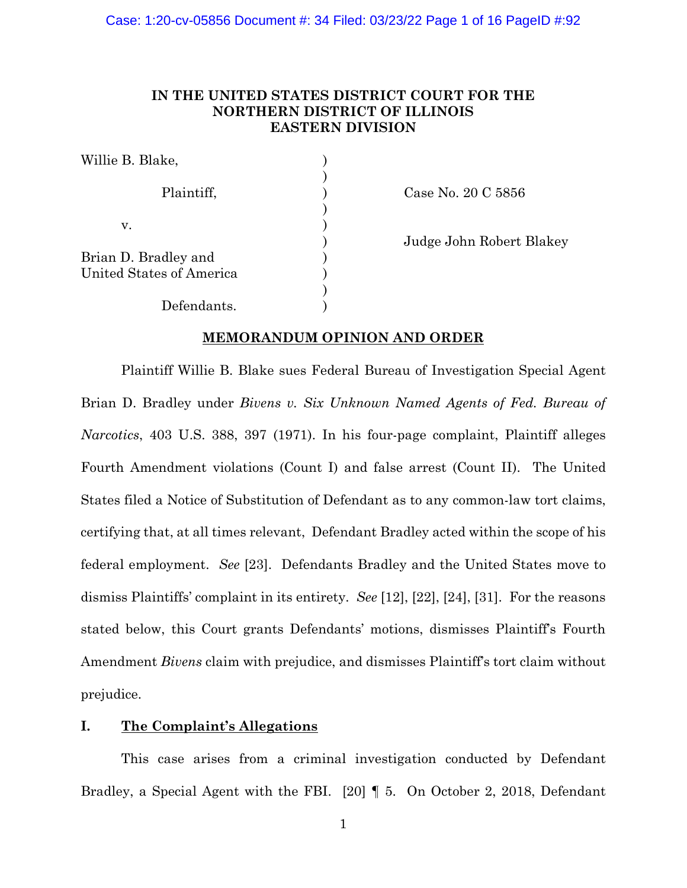# **IN THE UNITED STATES DISTRICT COURT FOR THE NORTHERN DISTRICT OF ILLINOIS EASTERN DIVISION**

| Willie B. Blake,                                 |  |
|--------------------------------------------------|--|
| Plaintiff,                                       |  |
| v.                                               |  |
| Brian D. Bradley and<br>United States of America |  |
| Defendants.                                      |  |

Case No. 20 C  $5856$ 

) Judge John Robert Blakey

# **MEMORANDUM OPINION AND ORDER**

Plaintiff Willie B. Blake sues Federal Bureau of Investigation Special Agent Brian D. Bradley under *Bivens v. Six Unknown Named Agents of Fed. Bureau of Narcotics*, 403 U.S. 388, 397 (1971). In his four-page complaint, Plaintiff alleges Fourth Amendment violations (Count I) and false arrest (Count II). The United States filed a Notice of Substitution of Defendant as to any common-law tort claims, certifying that, at all times relevant, Defendant Bradley acted within the scope of his federal employment. *See* [23]. Defendants Bradley and the United States move to dismiss Plaintiffs' complaint in its entirety. *See* [12], [22], [24], [31]. For the reasons stated below, this Court grants Defendants' motions, dismisses Plaintiff's Fourth Amendment *Bivens* claim with prejudice, and dismisses Plaintiff's tort claim without prejudice.

# **I. The Complaint's Allegations**

This case arises from a criminal investigation conducted by Defendant Bradley, a Special Agent with the FBI. [20] ¶ 5. On October 2, 2018, Defendant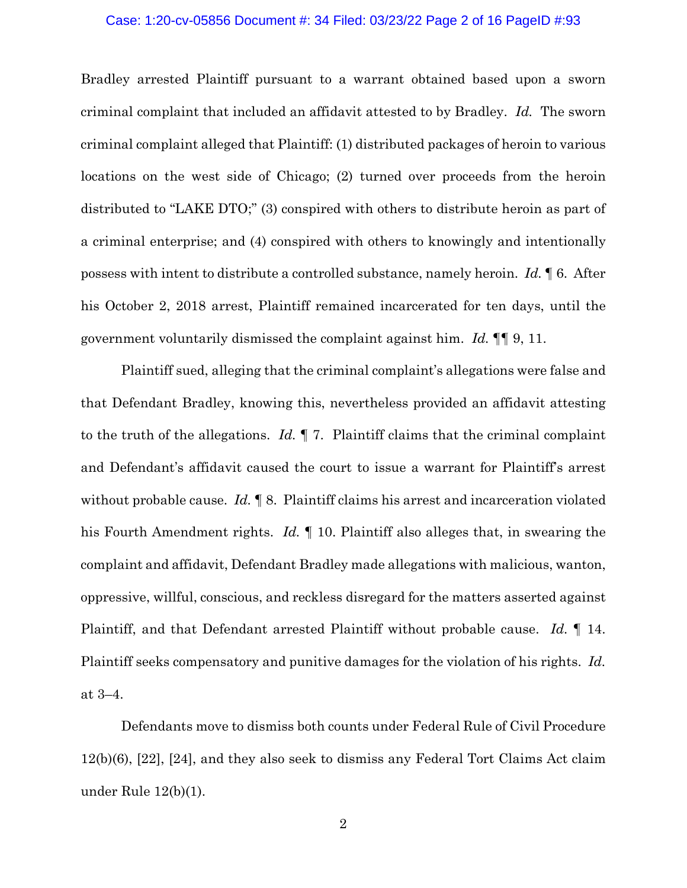#### Case: 1:20-cv-05856 Document #: 34 Filed: 03/23/22 Page 2 of 16 PageID #:93

Bradley arrested Plaintiff pursuant to a warrant obtained based upon a sworn criminal complaint that included an affidavit attested to by Bradley. *Id.* The sworn criminal complaint alleged that Plaintiff: (1) distributed packages of heroin to various locations on the west side of Chicago; (2) turned over proceeds from the heroin distributed to "LAKE DTO;" (3) conspired with others to distribute heroin as part of a criminal enterprise; and (4) conspired with others to knowingly and intentionally possess with intent to distribute a controlled substance, namely heroin. *Id.* ¶ 6. After his October 2, 2018 arrest, Plaintiff remained incarcerated for ten days, until the government voluntarily dismissed the complaint against him. *Id.* ¶¶ 9, 11.

Plaintiff sued, alleging that the criminal complaint's allegations were false and that Defendant Bradley, knowing this, nevertheless provided an affidavit attesting to the truth of the allegations. *Id.* ¶ 7. Plaintiff claims that the criminal complaint and Defendant's affidavit caused the court to issue a warrant for Plaintiff's arrest without probable cause. *Id.* ¶ 8. Plaintiff claims his arrest and incarceration violated his Fourth Amendment rights. *Id.* ¶ 10. Plaintiff also alleges that, in swearing the complaint and affidavit, Defendant Bradley made allegations with malicious, wanton, oppressive, willful, conscious, and reckless disregard for the matters asserted against Plaintiff, and that Defendant arrested Plaintiff without probable cause. *Id.* ¶ 14. Plaintiff seeks compensatory and punitive damages for the violation of his rights. *Id.* at 3–4.

Defendants move to dismiss both counts under Federal Rule of Civil Procedure 12(b)(6), [22], [24], and they also seek to dismiss any Federal Tort Claims Act claim under Rule 12(b)(1).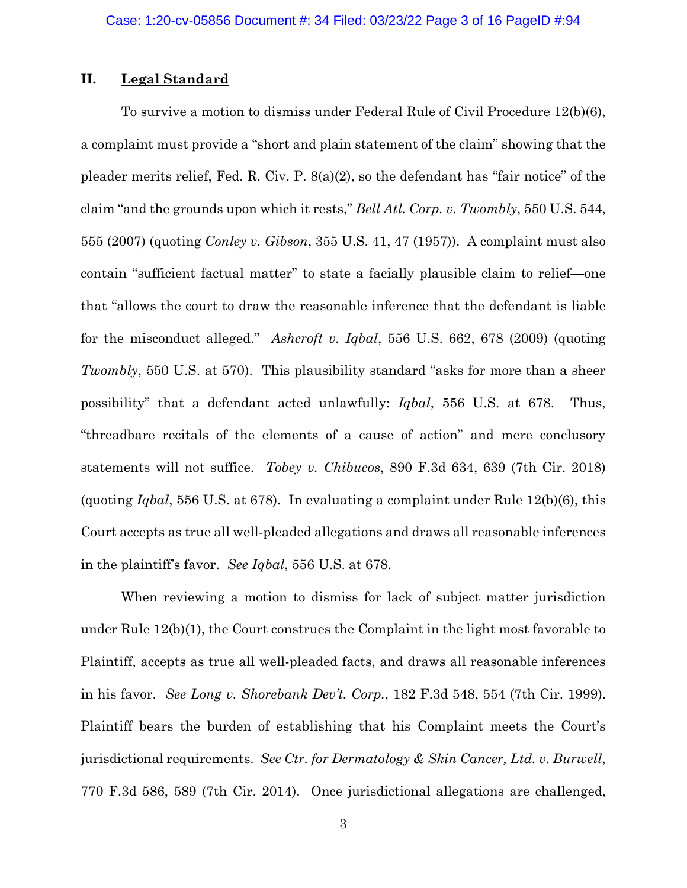# **II. Legal Standard**

To survive a motion to dismiss under Federal Rule of Civil Procedure 12(b)(6), a complaint must provide a "short and plain statement of the claim" showing that the pleader merits relief, Fed. R. Civ. P. 8(a)(2), so the defendant has "fair notice" of the claim "and the grounds upon which it rests," *Bell Atl. Corp. v. Twombly*, 550 U.S. 544, 555 (2007) (quoting *Conley v. Gibson*, 355 U.S. 41, 47 (1957)). A complaint must also contain "sufficient factual matter" to state a facially plausible claim to relief—one that "allows the court to draw the reasonable inference that the defendant is liable for the misconduct alleged." *Ashcroft v. Iqbal*, 556 U.S. 662, 678 (2009) (quoting *Twombly*, 550 U.S. at 570). This plausibility standard "asks for more than a sheer possibility" that a defendant acted unlawfully: *Iqbal*, 556 U.S. at 678. Thus, "threadbare recitals of the elements of a cause of action" and mere conclusory statements will not suffice. *Tobey v. Chibucos*, 890 F.3d 634, 639 (7th Cir. 2018) (quoting *Iqbal*, 556 U.S. at 678). In evaluating a complaint under Rule 12(b)(6), this Court accepts as true all well-pleaded allegations and draws all reasonable inferences in the plaintiff's favor. *See Iqbal*, 556 U.S. at 678.

When reviewing a motion to dismiss for lack of subject matter jurisdiction under Rule 12(b)(1), the Court construes the Complaint in the light most favorable to Plaintiff, accepts as true all well-pleaded facts, and draws all reasonable inferences in his favor. *See Long v. Shorebank Dev't. Corp.*, 182 F.3d 548, 554 (7th Cir. 1999). Plaintiff bears the burden of establishing that his Complaint meets the Court's jurisdictional requirements. *See Ctr. for Dermatology & Skin Cancer, Ltd. v. Burwell*, 770 F.3d 586, 589 (7th Cir. 2014). Once jurisdictional allegations are challenged,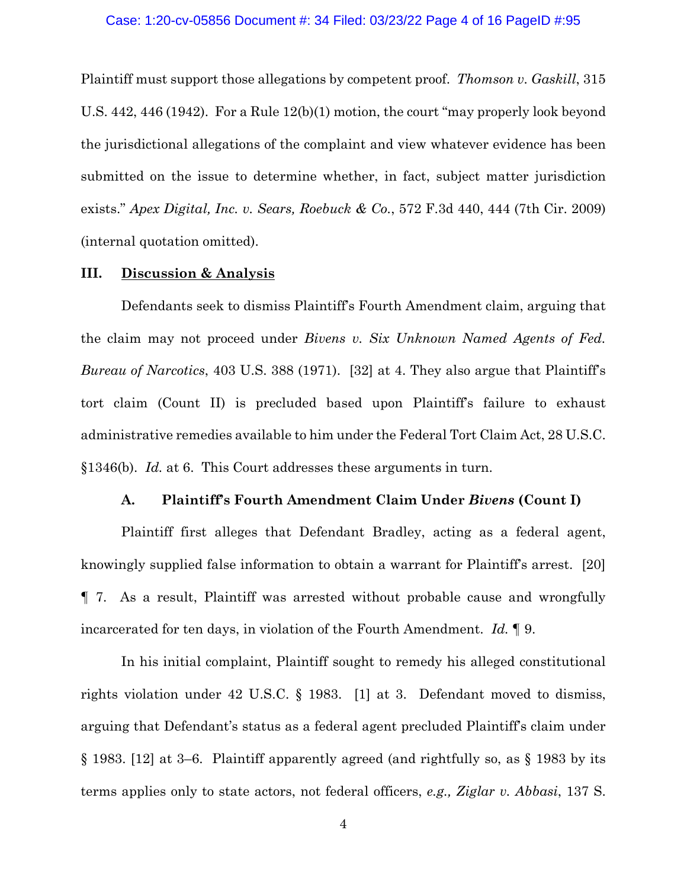Plaintiff must support those allegations by competent proof. *Thomson v. Gaskill*, 315 U.S. 442, 446 (1942). For a Rule 12(b)(1) motion, the court "may properly look beyond the jurisdictional allegations of the complaint and view whatever evidence has been submitted on the issue to determine whether, in fact, subject matter jurisdiction exists." *Apex Digital, Inc. v. Sears, Roebuck & Co.*, 572 F.3d 440, 444 (7th Cir. 2009) (internal quotation omitted).

## **III. Discussion & Analysis**

Defendants seek to dismiss Plaintiff's Fourth Amendment claim, arguing that the claim may not proceed under *Bivens v. Six Unknown Named Agents of Fed. Bureau of Narcotics*, 403 U.S. 388 (1971). [32] at 4. They also argue that Plaintiff's tort claim (Count II) is precluded based upon Plaintiff's failure to exhaust administrative remedies available to him under the Federal Tort Claim Act, 28 U.S.C. §1346(b). *Id.* at 6. This Court addresses these arguments in turn.

### **A. Plaintiff's Fourth Amendment Claim Under** *Bivens* **(Count I)**

Plaintiff first alleges that Defendant Bradley, acting as a federal agent, knowingly supplied false information to obtain a warrant for Plaintiff's arrest. [20] ¶ 7. As a result, Plaintiff was arrested without probable cause and wrongfully incarcerated for ten days, in violation of the Fourth Amendment. *Id.* ¶ 9.

In his initial complaint, Plaintiff sought to remedy his alleged constitutional rights violation under 42 U.S.C. § 1983. [1] at 3. Defendant moved to dismiss, arguing that Defendant's status as a federal agent precluded Plaintiff's claim under § 1983. [12] at 3–6. Plaintiff apparently agreed (and rightfully so, as § 1983 by its terms applies only to state actors, not federal officers, *e.g., Ziglar v. Abbasi*, 137 S.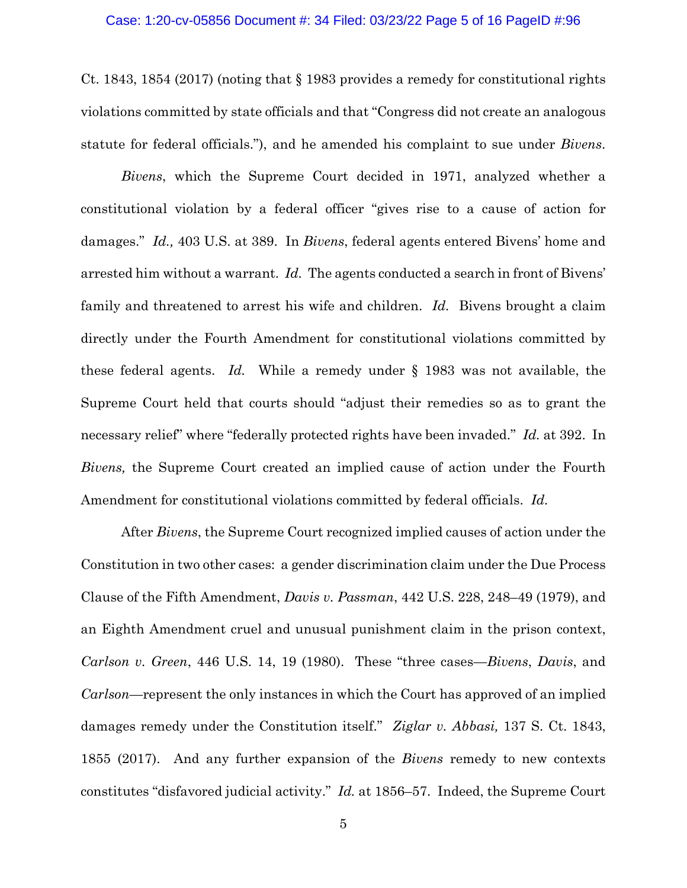Ct. 1843, 1854 (2017) (noting that § 1983 provides a remedy for constitutional rights violations committed by state officials and that "Congress did not create an analogous statute for federal officials."), and he amended his complaint to sue under *Bivens*.

*Bivens*, which the Supreme Court decided in 1971, analyzed whether a constitutional violation by a federal officer "gives rise to a cause of action for damages." *Id.,* 403 U.S. at 389. In *Bivens*, federal agents entered Bivens' home and arrested him without a warrant. *Id.* The agents conducted a search in front of Bivens' family and threatened to arrest his wife and children. *Id.* Bivens brought a claim directly under the Fourth Amendment for constitutional violations committed by these federal agents. *Id.* While a remedy under § 1983 was not available, the Supreme Court held that courts should "adjust their remedies so as to grant the necessary relief" where "federally protected rights have been invaded." *Id.* at 392. In *Bivens,* the Supreme Court created an implied cause of action under the Fourth Amendment for constitutional violations committed by federal officials. *Id.*

After *Bivens*, the Supreme Court recognized implied causes of action under the Constitution in two other cases: a gender discrimination claim under the Due Process Clause of the Fifth Amendment, *Davis v. Passman*, 442 U.S. 228, 248–49 (1979), and an Eighth Amendment cruel and unusual punishment claim in the prison context, *Carlson v. Green*, 446 U.S. 14, 19 (1980). These "three cases—*Bivens*, *Davis*, and *Carlson*—represent the only instances in which the Court has approved of an implied damages remedy under the Constitution itself." *Ziglar v. Abbasi,* 137 S. Ct. 1843, 1855 (2017). And any further expansion of the *Bivens* remedy to new contexts constitutes "disfavored judicial activity." *Id.* at 1856–57. Indeed, the Supreme Court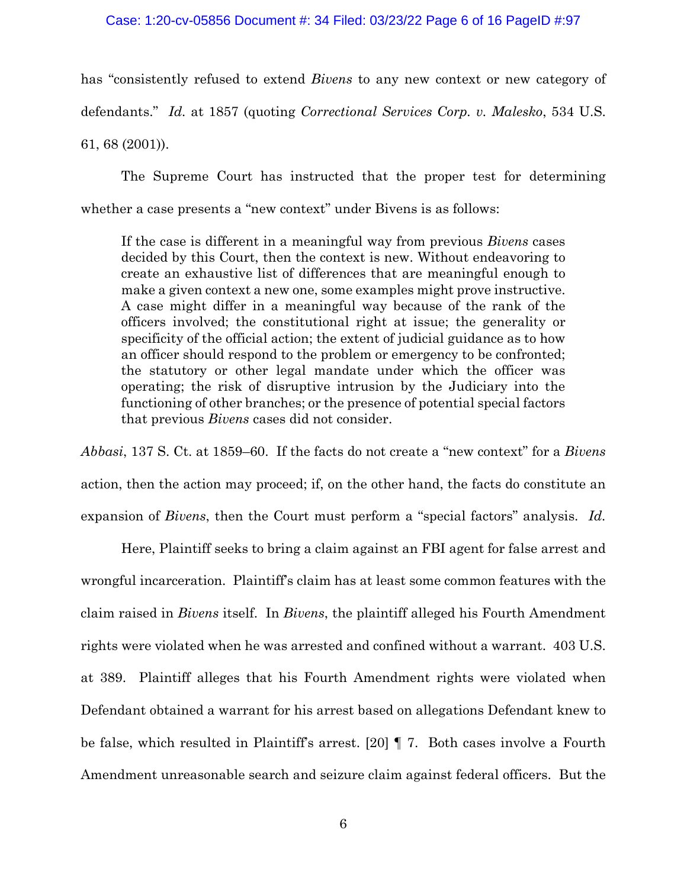### Case: 1:20-cv-05856 Document #: 34 Filed: 03/23/22 Page 6 of 16 PageID #:97

has "consistently refused to extend *Bivens* to any new context or new category of defendants." *Id.* at 1857 (quoting *Correctional Services Corp. v. Malesko*, 534 U.S. 61, 68 (2001)).

The Supreme Court has instructed that the proper test for determining whether a case presents a "new context" under Bivens is as follows:

If the case is different in a meaningful way from previous *Bivens* cases decided by this Court, then the context is new. Without endeavoring to create an exhaustive list of differences that are meaningful enough to make a given context a new one, some examples might prove instructive. A case might differ in a meaningful way because of the rank of the officers involved; the constitutional right at issue; the generality or specificity of the official action; the extent of judicial guidance as to how an officer should respond to the problem or emergency to be confronted; the statutory or other legal mandate under which the officer was operating; the risk of disruptive intrusion by the Judiciary into the functioning of other branches; or the presence of potential special factors that previous *Bivens* cases did not consider.

*Abbasi*, 137 S. Ct. at 1859–60. If the facts do not create a "new context" for a *Bivens* action, then the action may proceed; if, on the other hand, the facts do constitute an expansion of *Bivens*, then the Court must perform a "special factors" analysis. *Id.*

Here, Plaintiff seeks to bring a claim against an FBI agent for false arrest and wrongful incarceration. Plaintiff's claim has at least some common features with the claim raised in *Bivens* itself. In *Bivens*, the plaintiff alleged his Fourth Amendment rights were violated when he was arrested and confined without a warrant. 403 U.S. at 389. Plaintiff alleges that his Fourth Amendment rights were violated when Defendant obtained a warrant for his arrest based on allegations Defendant knew to be false, which resulted in Plaintiff's arrest. [20] ¶ 7. Both cases involve a Fourth Amendment unreasonable search and seizure claim against federal officers. But the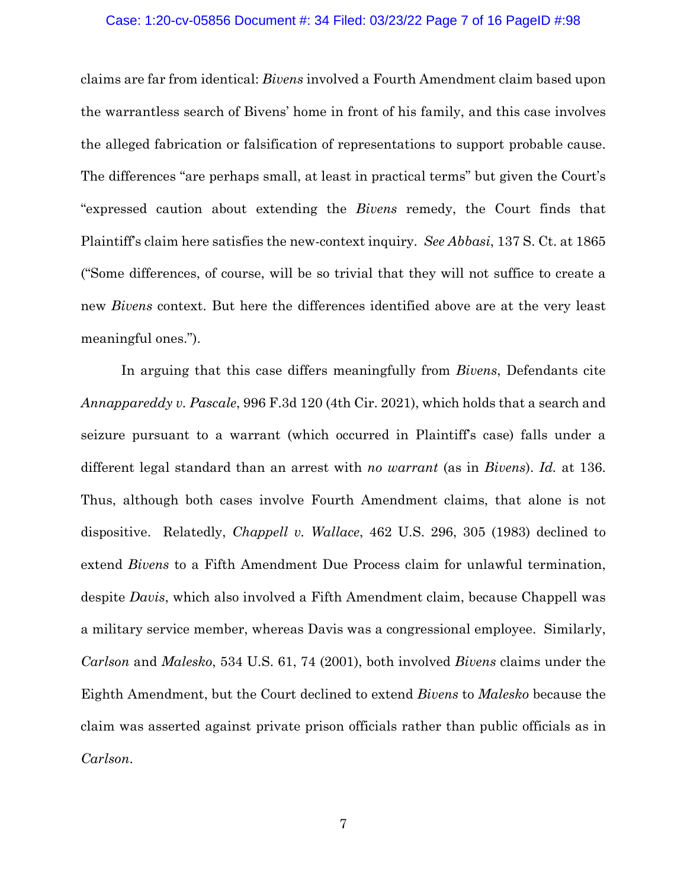### Case: 1:20-cv-05856 Document #: 34 Filed: 03/23/22 Page 7 of 16 PageID #:98

claims are far from identical: *Bivens* involved a Fourth Amendment claim based upon the warrantless search of Bivens' home in front of his family, and this case involves the alleged fabrication or falsification of representations to support probable cause. The differences "are perhaps small, at least in practical terms" but given the Court's "expressed caution about extending the *Bivens* remedy, the Court finds that Plaintiff's claim here satisfies the new-context inquiry. *See Abbasi*, 137 S. Ct. at 1865 ("Some differences, of course, will be so trivial that they will not suffice to create a new *Bivens* context. But here the differences identified above are at the very least meaningful ones.").

In arguing that this case differs meaningfully from *Bivens*, Defendants cite *Annappareddy v. Pascale*, 996 F.3d 120 (4th Cir. 2021), which holds that a search and seizure pursuant to a warrant (which occurred in Plaintiff's case) falls under a different legal standard than an arrest with *no warrant* (as in *Bivens*). *Id.* at 136. Thus, although both cases involve Fourth Amendment claims, that alone is not dispositive. Relatedly, *Chappell v. Wallace*, 462 U.S. 296, 305 (1983) declined to extend *Bivens* to a Fifth Amendment Due Process claim for unlawful termination, despite *Davis*, which also involved a Fifth Amendment claim, because Chappell was a military service member, whereas Davis was a congressional employee. Similarly, *Carlson* and *Malesko*, 534 U.S. 61, 74 (2001), both involved *Bivens* claims under the Eighth Amendment, but the Court declined to extend *Bivens* to *Malesko* because the claim was asserted against private prison officials rather than public officials as in *Carlson*.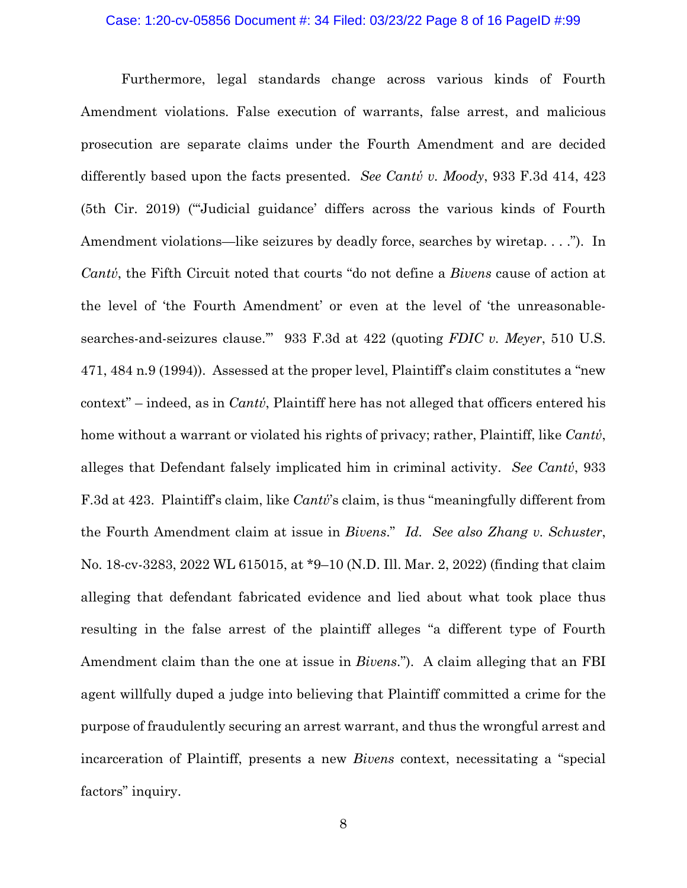## Case: 1:20-cv-05856 Document #: 34 Filed: 03/23/22 Page 8 of 16 PageID #:99

Furthermore, legal standards change across various kinds of Fourth Amendment violations. False execution of warrants, false arrest, and malicious prosecution are separate claims under the Fourth Amendment and are decided differently based upon the facts presented. *See Cantύ v. Moody*, 933 F.3d 414, 423 (5th Cir. 2019) ("'Judicial guidance' differs across the various kinds of Fourth Amendment violations—like seizures by deadly force, searches by wiretap. . . ."). In *Cantύ*, the Fifth Circuit noted that courts "do not define a *Bivens* cause of action at the level of 'the Fourth Amendment' or even at the level of 'the unreasonablesearches-and-seizures clause.'" 933 F.3d at 422 (quoting *FDIC v. Meyer*, 510 U.S. 471, 484 n.9 (1994)). Assessed at the proper level, Plaintiff's claim constitutes a "new context" – indeed, as in *Cantύ*, Plaintiff here has not alleged that officers entered his home without a warrant or violated his rights of privacy; rather, Plaintiff, like *Cantύ*, alleges that Defendant falsely implicated him in criminal activity. *See Cantύ*, 933 F.3d at 423. Plaintiff's claim, like *Cantύ*'s claim, is thus "meaningfully different from the Fourth Amendment claim at issue in *Bivens*." *Id. See also Zhang v. Schuster*, No. 18-cv-3283, 2022 WL 615015, at \*9–10 (N.D. Ill. Mar. 2, 2022) (finding that claim alleging that defendant fabricated evidence and lied about what took place thus resulting in the false arrest of the plaintiff alleges "a different type of Fourth Amendment claim than the one at issue in *Bivens*."). A claim alleging that an FBI agent willfully duped a judge into believing that Plaintiff committed a crime for the purpose of fraudulently securing an arrest warrant, and thus the wrongful arrest and incarceration of Plaintiff, presents a new *Bivens* context, necessitating a "special factors" inquiry.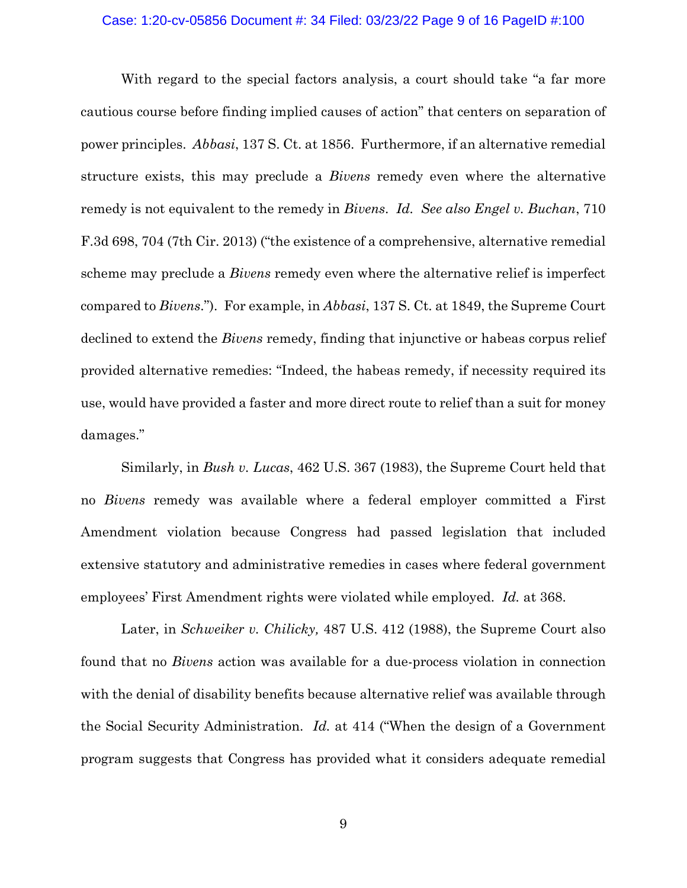## Case: 1:20-cv-05856 Document #: 34 Filed: 03/23/22 Page 9 of 16 PageID #:100

With regard to the special factors analysis, a court should take "a far more cautious course before finding implied causes of action" that centers on separation of power principles. *Abbasi*, 137 S. Ct. at 1856. Furthermore, if an alternative remedial structure exists, this may preclude a *Bivens* remedy even where the alternative remedy is not equivalent to the remedy in *Bivens*. *Id. See also Engel v. Buchan*, 710 F.3d 698, 704 (7th Cir. 2013) ("the existence of a comprehensive, alternative remedial scheme may preclude a *Bivens* remedy even where the alternative relief is imperfect compared to *Bivens*."). For example, in *Abbasi*, 137 S. Ct. at 1849, the Supreme Court declined to extend the *Bivens* remedy, finding that injunctive or habeas corpus relief provided alternative remedies: "Indeed, the habeas remedy, if necessity required its use, would have provided a faster and more direct route to relief than a suit for money damages."

Similarly, in *Bush v. Lucas*, 462 U.S. 367 (1983), the Supreme Court held that no *Bivens* remedy was available where a federal employer committed a First Amendment violation because Congress had passed legislation that included extensive statutory and administrative remedies in cases where federal government employees' First Amendment rights were violated while employed. *Id.* at 368.

Later, in *Schweiker v. Chilicky,* 487 U.S. 412 (1988), the Supreme Court also found that no *Bivens* action was available for a due-process violation in connection with the denial of disability benefits because alternative relief was available through the Social Security Administration. *Id.* at 414 ("When the design of a Government program suggests that Congress has provided what it considers adequate remedial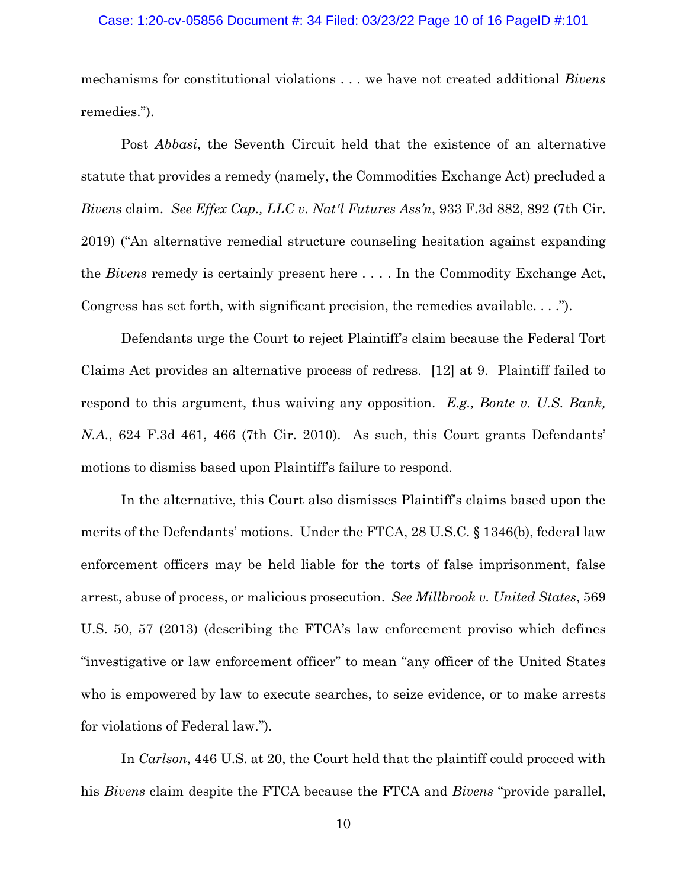### Case: 1:20-cv-05856 Document #: 34 Filed: 03/23/22 Page 10 of 16 PageID #:101

mechanisms for constitutional violations . . . we have not created additional *Bivens* remedies.").

Post *Abbasi*, the Seventh Circuit held that the existence of an alternative statute that provides a remedy (namely, the Commodities Exchange Act) precluded a *Bivens* claim. *See Effex Cap., LLC v. Nat'l Futures Ass'n*, 933 F.3d 882, 892 (7th Cir. 2019) ("An alternative remedial structure counseling hesitation against expanding the *Bivens* remedy is certainly present here . . . . In the Commodity Exchange Act, Congress has set forth, with significant precision, the remedies available. . . .").

Defendants urge the Court to reject Plaintiff's claim because the Federal Tort Claims Act provides an alternative process of redress. [12] at 9. Plaintiff failed to respond to this argument, thus waiving any opposition. *E.g., Bonte v. U.S. Bank, N.A.*, 624 F.3d 461, 466 (7th Cir. 2010). As such, this Court grants Defendants' motions to dismiss based upon Plaintiff's failure to respond.

In the alternative, this Court also dismisses Plaintiff's claims based upon the merits of the Defendants' motions. Under the FTCA, 28 U.S.C. § 1346(b), federal law enforcement officers may be held liable for the torts of false imprisonment, false arrest, abuse of process, or malicious prosecution. *See Millbrook v. United States*, 569 U.S. 50, 57 (2013) (describing the FTCA's law enforcement proviso which defines "investigative or law enforcement officer" to mean "any officer of the United States who is empowered by law to execute searches, to seize evidence, or to make arrests for violations of Federal law.").

In *Carlson*, 446 U.S. at 20, the Court held that the plaintiff could proceed with his *Bivens* claim despite the FTCA because the FTCA and *Bivens* "provide parallel,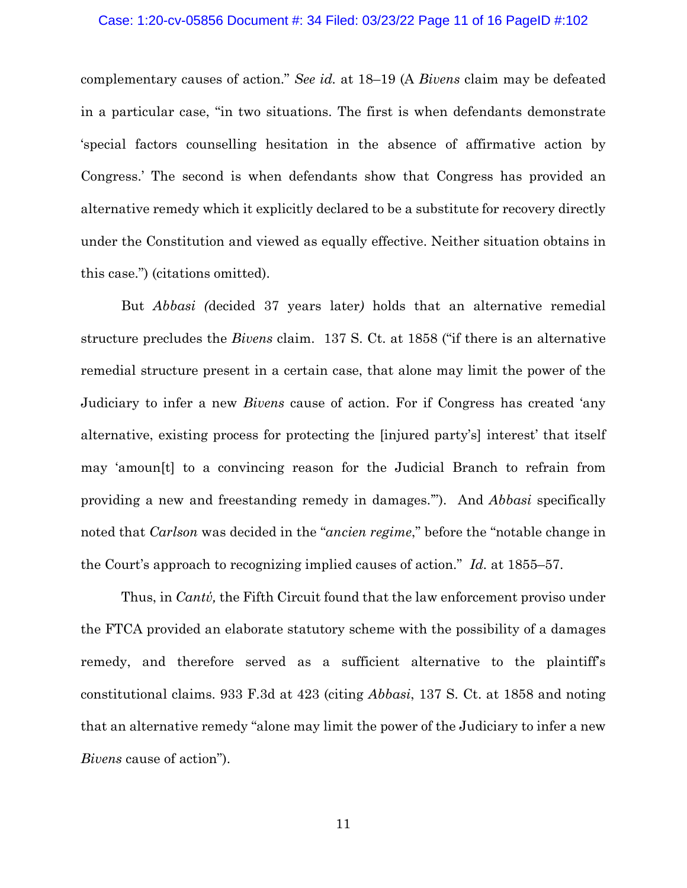## Case: 1:20-cv-05856 Document #: 34 Filed: 03/23/22 Page 11 of 16 PageID #:102

complementary causes of action." *See id.* at 18–19 (A *Bivens* claim may be defeated in a particular case, "in two situations. The first is when defendants demonstrate 'special factors counselling hesitation in the absence of affirmative action by Congress.' The second is when defendants show that Congress has provided an alternative remedy which it explicitly declared to be a substitute for recovery directly under the Constitution and viewed as equally effective. Neither situation obtains in this case.") (citations omitted).

But *Abbasi (*decided 37 years later*)* holds that an alternative remedial structure precludes the *Bivens* claim. 137 S. Ct. at 1858 ("if there is an alternative remedial structure present in a certain case, that alone may limit the power of the Judiciary to infer a new *Bivens* cause of action. For if Congress has created 'any alternative, existing process for protecting the [injured party's] interest' that itself may 'amoun[t] to a convincing reason for the Judicial Branch to refrain from providing a new and freestanding remedy in damages.'"). And *Abbasi* specifically noted that *Carlson* was decided in the "*ancien regime*," before the "notable change in the Court's approach to recognizing implied causes of action." *Id.* at 1855–57.

Thus, in *Cantύ,* the Fifth Circuit found that the law enforcement proviso under the FTCA provided an elaborate statutory scheme with the possibility of a damages remedy, and therefore served as a sufficient alternative to the plaintiff's constitutional claims. 933 F.3d at 423 (citing *Abbasi*, 137 S. Ct. at 1858 and noting that an alternative remedy "alone may limit the power of the Judiciary to infer a new *Bivens* cause of action").

11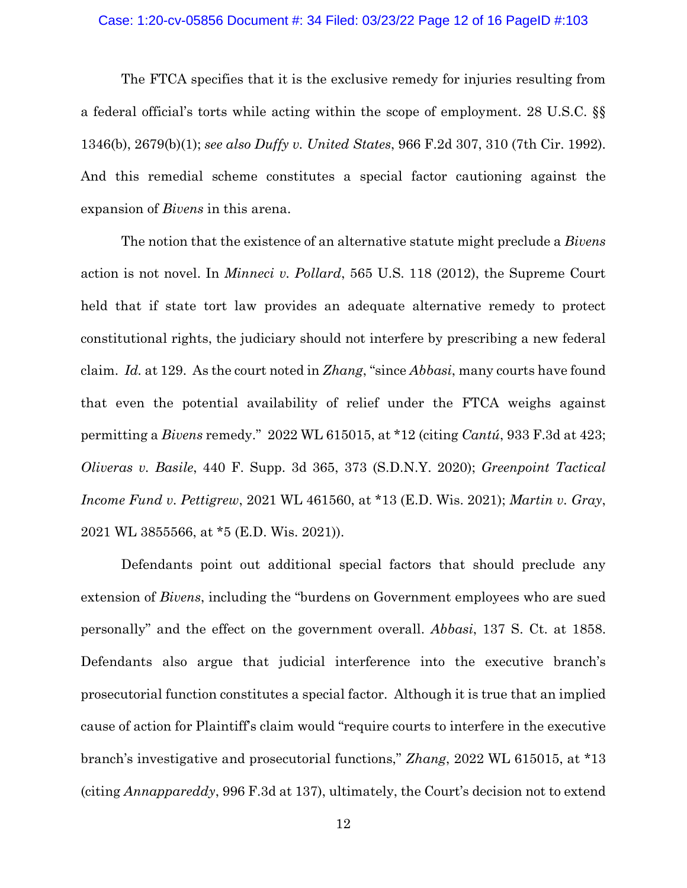## Case: 1:20-cv-05856 Document #: 34 Filed: 03/23/22 Page 12 of 16 PageID #:103

The FTCA specifies that it is the exclusive remedy for injuries resulting from a federal official's torts while acting within the scope of employment. 28 U.S.C. §§ 1346(b), 2679(b)(1); *see also Duffy v. United States*, 966 F.2d 307, 310 (7th Cir. 1992). And this remedial scheme constitutes a special factor cautioning against the expansion of *Bivens* in this arena.

The notion that the existence of an alternative statute might preclude a *Bivens* action is not novel. In *Minneci v. Pollard*, 565 U.S. 118 (2012), the Supreme Court held that if state tort law provides an adequate alternative remedy to protect constitutional rights, the judiciary should not interfere by prescribing a new federal claim. *Id.* at 129. As the court noted in *Zhang*, "since *Abbasi*, many courts have found that even the potential availability of relief under the FTCA weighs against permitting a *Bivens* remedy." 2022 WL 615015, at \*12 (citing *Cantú*, 933 F.3d at 423; *Oliveras v. Basile*, 440 F. Supp. 3d 365, 373 (S.D.N.Y. 2020); *Greenpoint Tactical Income Fund v. Pettigrew*, 2021 WL 461560, at \*13 (E.D. Wis. 2021); *Martin v. Gray*, 2021 WL 3855566, at \*5 (E.D. Wis. 2021)).

Defendants point out additional special factors that should preclude any extension of *Bivens*, including the "burdens on Government employees who are sued personally" and the effect on the government overall. *Abbasi*, 137 S. Ct. at 1858. Defendants also argue that judicial interference into the executive branch's prosecutorial function constitutes a special factor. Although it is true that an implied cause of action for Plaintiff's claim would "require courts to interfere in the executive branch's investigative and prosecutorial functions," *Zhang*, 2022 WL 615015, at \*13 (citing *Annappareddy*, 996 F.3d at 137), ultimately, the Court's decision not to extend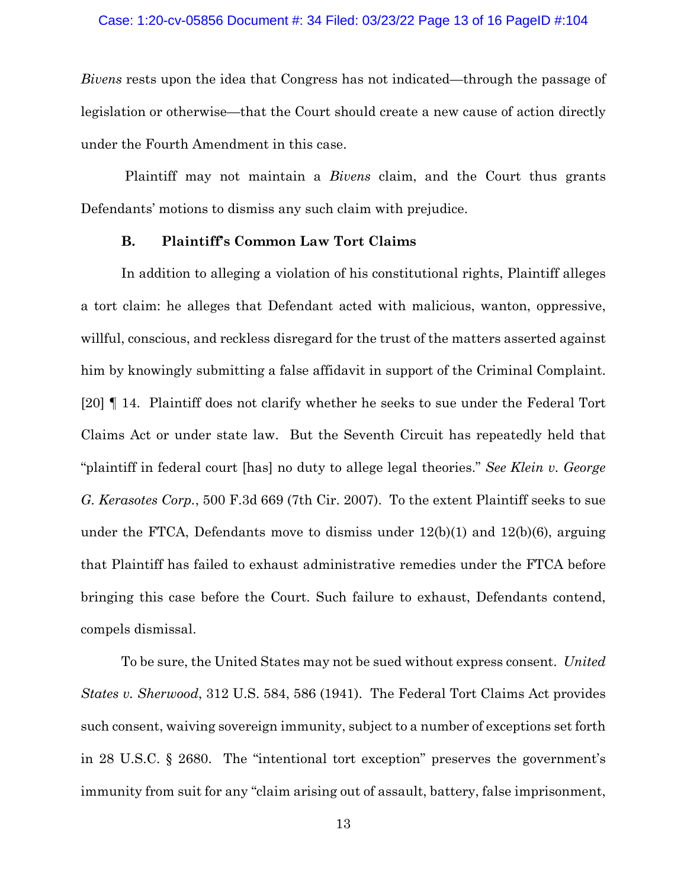*Bivens* rests upon the idea that Congress has not indicated—through the passage of legislation or otherwise—that the Court should create a new cause of action directly under the Fourth Amendment in this case.

Plaintiff may not maintain a *Bivens* claim, and the Court thus grants Defendants' motions to dismiss any such claim with prejudice.

## **B. Plaintiff's Common Law Tort Claims**

In addition to alleging a violation of his constitutional rights, Plaintiff alleges a tort claim: he alleges that Defendant acted with malicious, wanton, oppressive, willful, conscious, and reckless disregard for the trust of the matters asserted against him by knowingly submitting a false affidavit in support of the Criminal Complaint. [20] ¶ 14. Plaintiff does not clarify whether he seeks to sue under the Federal Tort Claims Act or under state law. But the Seventh Circuit has repeatedly held that "plaintiff in federal court [has] no duty to allege legal theories." *See Klein v. George G. Kerasotes Corp.*, 500 F.3d 669 (7th Cir. 2007). To the extent Plaintiff seeks to sue under the FTCA, Defendants move to dismiss under  $12(b)(1)$  and  $12(b)(6)$ , arguing that Plaintiff has failed to exhaust administrative remedies under the FTCA before bringing this case before the Court. Such failure to exhaust, Defendants contend, compels dismissal.

To be sure, the United States may not be sued without express consent. *United States v. Sherwood*, 312 U.S. 584, 586 (1941). The Federal Tort Claims Act provides such consent, waiving sovereign immunity, subject to a number of exceptions set forth in 28 U.S.C. § 2680. The "intentional tort exception" preserves the government's immunity from suit for any "claim arising out of assault, battery, false imprisonment,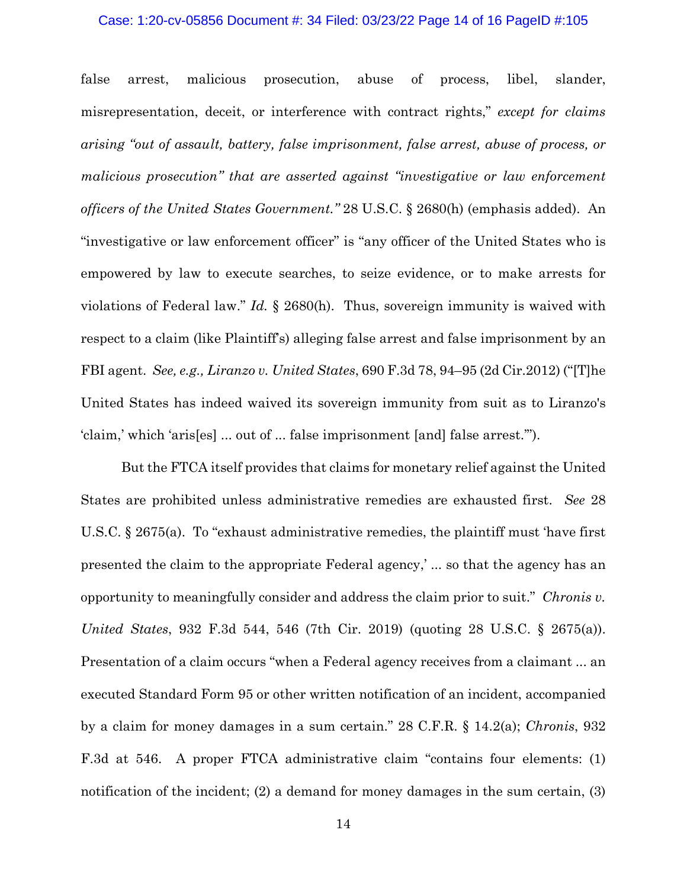### Case: 1:20-cv-05856 Document #: 34 Filed: 03/23/22 Page 14 of 16 PageID #:105

false arrest, malicious prosecution, abuse of process, libel, slander, misrepresentation, deceit, or interference with contract rights," *except for claims arising "out of assault, battery, false imprisonment, false arrest, abuse of process, or malicious prosecution" that are asserted against "investigative or law enforcement officers of the United States Government."* 28 U.S.C. § 2680(h) (emphasis added). An "investigative or law enforcement officer" is "any officer of the United States who is empowered by law to execute searches, to seize evidence, or to make arrests for violations of Federal law." *Id.* § 2680(h). Thus, sovereign immunity is waived with respect to a claim (like Plaintiff's) alleging false arrest and false imprisonment by an FBI agent. *See, e.g., Liranzo v. United States*, 690 F.3d 78, 94–95 (2d Cir.2012) ("[T]he United States has indeed waived its sovereign immunity from suit as to Liranzo's 'claim,' which 'aris[es] ... out of ... false imprisonment [and] false arrest.'").

But the FTCA itself provides that claims for monetary relief against the United States are prohibited unless administrative remedies are exhausted first. *See* 28 U.S.C. § 2675(a). To "exhaust administrative remedies, the plaintiff must 'have first presented the claim to the appropriate Federal agency,' ... so that the agency has an opportunity to meaningfully consider and address the claim prior to suit." *Chronis v. United States*, 932 F.3d 544, 546 (7th Cir. 2019) (quoting 28 U.S.C. § 2675(a)). Presentation of a claim occurs "when a Federal agency receives from a claimant ... an executed Standard Form 95 or other written notification of an incident, accompanied by a claim for money damages in a sum certain." 28 C.F.R. § 14.2(a); *Chronis*, 932 F.3d at 546. A proper FTCA administrative claim "contains four elements: (1) notification of the incident; (2) a demand for money damages in the sum certain, (3)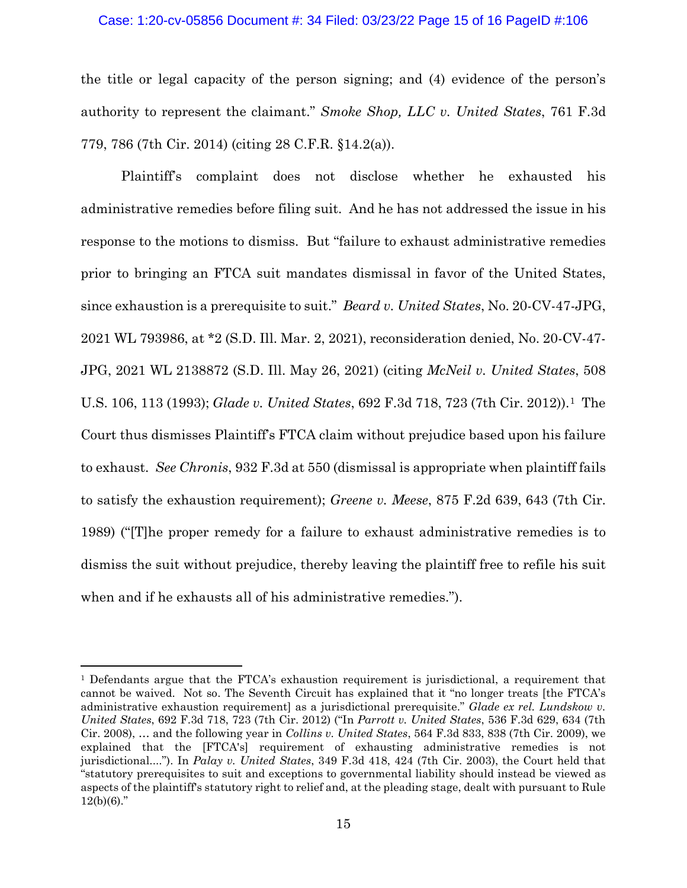### Case: 1:20-cv-05856 Document #: 34 Filed: 03/23/22 Page 15 of 16 PageID #:106

the title or legal capacity of the person signing; and (4) evidence of the person's authority to represent the claimant." *Smoke Shop, LLC v. United States*, 761 F.3d 779, 786 (7th Cir. 2014) (citing 28 C.F.R. §14.2(a)).

Plaintiff's complaint does not disclose whether he exhausted his administrative remedies before filing suit. And he has not addressed the issue in his response to the motions to dismiss. But "failure to exhaust administrative remedies prior to bringing an FTCA suit mandates dismissal in favor of the United States, since exhaustion is a prerequisite to suit." *Beard v. United States*, No. 20-CV-47-JPG, 2021 WL 793986, at \*2 (S.D. Ill. Mar. 2, 2021), reconsideration denied, No. 20-CV-47- JPG, 2021 WL 2138872 (S.D. Ill. May 26, 2021) (citing *McNeil v. United States*, 508 U.S. 106, 113 (1993); *Glade v. United States*, 692 F.3d 718, 723 (7th Cir. 2012)).[1](#page-14-0) The Court thus dismisses Plaintiff's FTCA claim without prejudice based upon his failure to exhaust. *See Chronis*, 932 F.3d at 550 (dismissal is appropriate when plaintiff fails to satisfy the exhaustion requirement); *Greene v. Meese*, 875 F.2d 639, 643 (7th Cir. 1989) ("[T]he proper remedy for a failure to exhaust administrative remedies is to dismiss the suit without prejudice, thereby leaving the plaintiff free to refile his suit when and if he exhausts all of his administrative remedies.").

<span id="page-14-0"></span><sup>&</sup>lt;sup>1</sup> Defendants argue that the FTCA's exhaustion requirement is jurisdictional, a requirement that cannot be waived. Not so. The Seventh Circuit has explained that it "no longer treats [the FTCA's administrative exhaustion requirement] as a jurisdictional prerequisite." *Glade ex rel. Lundskow v. United States*, 692 F.3d 718, 723 (7th Cir. 2012) ("In *Parrott v. United States*, 536 F.3d 629, 634 (7th Cir. 2008), … and the following year in *Collins v. United States*, 564 F.3d 833, 838 (7th Cir. 2009), we explained that the [FTCA's] requirement of exhausting administrative remedies is not jurisdictional...."). In *Palay v. United States*, 349 F.3d 418, 424 (7th Cir. 2003), the Court held that "statutory prerequisites to suit and exceptions to governmental liability should instead be viewed as aspects of the plaintiff's statutory right to relief and, at the pleading stage, dealt with pursuant to Rule  $12(b)(6)$ ."